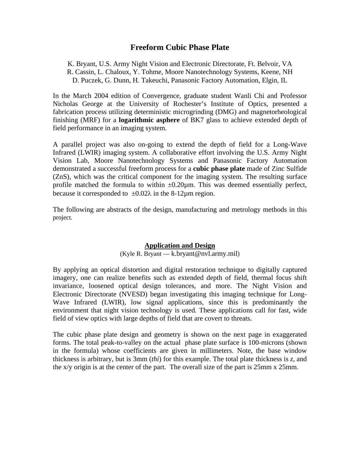# **Freeform Cubic Phase Plate**

K. Bryant, U.S. Army Night Vision and Electronic Directorate, Ft. Belvoir, VA R. Cassin, L. Chaloux, Y. Tohme, Moore Nanotechnology Systems, Keene, NH D. Puczek, G. Dunn, H. Takeuchi, Panasonic Factory Automation, Elgin, IL

In the March 2004 edition of Convergence, graduate student Wanli Chi and Professor Nicholas George at the University of Rochester's Institute of Optics, presented a fabrication process utilizing deterministic microgrinding (DMG) and magnetorheological finishing (MRF) for a **logarithmic asphere** of BK7 glass to achieve extended depth of field performance in an imaging system.

A parallel project was also on-going to extend the depth of field for a Long-Wave Infrared (LWIR) imaging system. A collaborative effort involving the U.S. Army Night Vision Lab, Moore Nanotechnology Systems and Panasonic Factory Automation demonstrated a successful freeform process for a **cubic phase plate** made of Zinc Sulfide (ZnS), which was the critical component for the imaging system. The resulting surface profile matched the formula to within  $\pm 0.20 \mu$ m. This was deemed essentially perfect, because it corresponded to  $\pm 0.02\lambda$  in the 8-12µm region.

The following are abstracts of the design, manufacturing and metrology methods in this project.

#### **Application and Design**

#### (Kyle R. Bryant — k.bryant@nvl.army.mil)

By applying an optical distortion and digital restoration technique to digitally captured imagery, one can realize benefits such as extended depth of field, thermal focus shift invariance, loosened optical design tolerances, and more. The Night Vision and Electronic Directorate (NVESD) began investigating this imaging technique for Long-Wave Infrared (LWIR), low signal applications, since this is predominantly the environment that night vision technology is used. These applications call for fast, wide field of view optics with large depths of field that are covert to threats.

The cubic phase plate design and geometry is shown on the next page in exaggerated forms. The total peak-to-valley on the actual phase plate surface is 100-microns (shown in the formula) whose coefficients are given in millimeters. Note, the base window thickness is arbitrary, but is 3mm (*thi*) for this example. The total plate thickness is *z*, and the x/y origin is at the center of the part. The overall size of the part is 25mm x 25mm.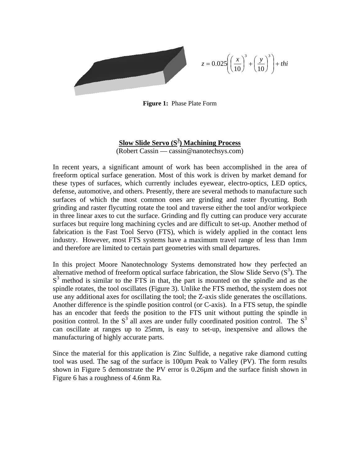$$
z = 0.025 \left( \left( \frac{x}{10} \right)^3 + \left( \frac{y}{10} \right)^3 \right) + \text{thi}
$$

**Figure 1:** Phase Plate Form

## **Slow Slide Servo (S3 ) Machining Process** (Robert Cassin — cassin@nanotechsys.com)

In recent years, a significant amount of work has been accomplished in the area of freeform optical surface generation. Most of this work is driven by market demand for these types of surfaces, which currently includes eyewear, electro-optics, LED optics, defense, automotive, and others. Presently, there are several methods to manufacture such surfaces of which the most common ones are grinding and raster flycutting. Both grinding and raster flycutting rotate the tool and traverse either the tool and/or workpiece in three linear axes to cut the surface. Grinding and fly cutting can produce very accurate surfaces but require long machining cycles and are difficult to set-up. Another method of fabrication is the Fast Tool Servo (FTS), which is widely applied in the contact lens industry. However, most FTS systems have a maximum travel range of less than 1mm and therefore are limited to certain part geometries with small departures.

In this project Moore Nanotechnology Systems demonstrated how they perfected an alternative method of freeform optical surface fabrication, the Slow Slide Servo  $(S^3)$ . The  $S<sup>3</sup>$  method is similar to the FTS in that, the part is mounted on the spindle and as the spindle rotates, the tool oscillates (Figure 3). Unlike the FTS method, the system does not use any additional axes for oscillating the tool; the Z-axis slide generates the oscillations. Another difference is the spindle position control (or C-axis). In a FTS setup, the spindle has an encoder that feeds the position to the FTS unit without putting the spindle in position control. In the  $S<sup>3</sup>$  all axes are under fully coordinated position control. The  $S<sup>3</sup>$ can oscillate at ranges up to 25mm, is easy to set-up, inexpensive and allows the manufacturing of highly accurate parts.

Since the material for this application is Zinc Sulfide, a negative rake diamond cutting tool was used. The sag of the surface is 100µm Peak to Valley (PV). The form results shown in Figure 5 demonstrate the PV error is 0.26µm and the surface finish shown in Figure 6 has a roughness of 4.6nm Ra.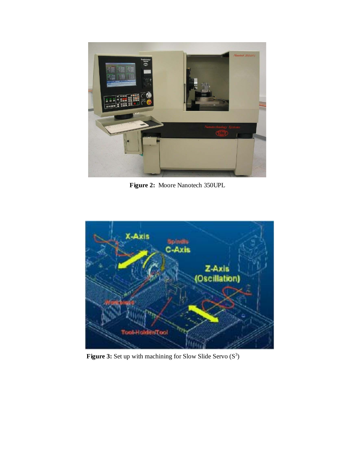

**Figure 2:** Moore Nanotech 350UPL



**Figure 3:** Set up with machining for Slow Slide Servo  $(S^3)$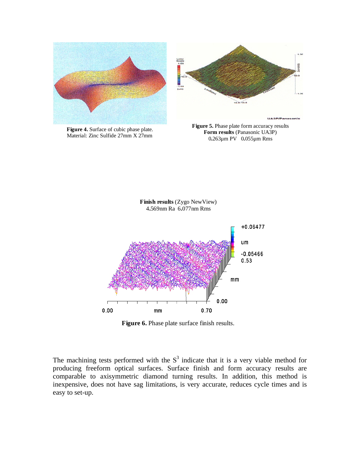



**Figure 4.** Surface of cubic phase plate. Material: Zinc Sulfide 27mm X 27mm

**Figure 5.** Phase plate form accuracy results **Form results** (Panasonic UA3P) 0**.**263µm PV 0**.**055µm Rms



**Figure 6.** Phase plate surface finish results.

The machining tests performed with the  $S<sup>3</sup>$  indicate that it is a very viable method for producing freeform optical surfaces. Surface finish and form accuracy results are comparable to axisymmetric diamond turning results. In addition, this method is inexpensive, does not have sag limitations, is very accurate, reduces cycle times and is easy to set-up.